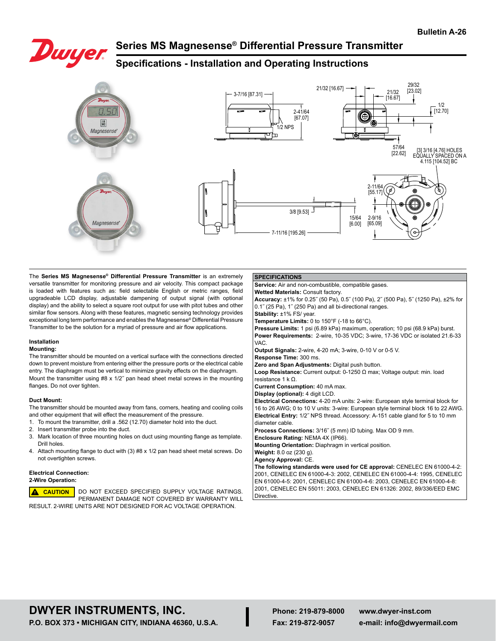

## **Series MS Magnesense® Differential Pressure Transmitter**

## **Specifications - Installation and Operating Instructions**



#### The **Series MS Magnesense® Differential Pressure Transmitter** is an extremely versatile transmitter for monitoring pressure and air velocity. This compact package is loaded with features such as: field selectable English or metric ranges, field upgradeable LCD display, adjustable dampening of output signal (with optional display) and the ability to select a square root output for use with pitot tubes and other similar flow sensors. Along with these features, magnetic sensing technology provides exceptional long term performance and enables the Magnesense® Differential Pressure Transmitter to be the solution for a myriad of pressure and air flow applications.

## **Installation**

#### **Mounting:**

The transmitter should be mounted on a vertical surface with the connections directed down to prevent moisture from entering either the pressure ports or the electrical cable entry. The diaphragm must be vertical to minimize gravity effects on the diaphragm. Mount the transmitter using #8 x 1/2˝ pan head sheet metal screws in the mounting flanges. Do not over tighten.

#### **Duct Mount:**

The transmitter should be mounted away from fans, corners, heating and cooling coils and other equipment that will effect the measurement of the pressure.

- 1. To mount the transmitter, drill a .562 (12.70) diameter hold into the duct.
- 2. Insert transmitter probe into the duct.
- 3. Mark location of three mounting holes on duct using mounting flange as template. Drill holes.
- 4. Attach mounting flange to duct with (3) #8 x 1/2 pan head sheet metal screws. Do not overtighten screws.

#### **Electrical Connection:**

## **2-Wire Operation:**



## **SPECIFICATIONS**

**Service:** Air and non-combustible, compatible gases.

**Wetted Materials:** Consult factory.

**Accuracy:** ±1% for 0.25˝ (50 Pa), 0.5˝ (100 Pa), 2˝ (500 Pa), 5˝ (1250 Pa), ±2% for 0.1˝ (25 Pa), 1˝ (250 Pa) and all bi-directional ranges. **Stability:** ±1% FS/ year.

**Temperature Limits:** 0 to 150°F (-18 to 66°C).

**Pressure Limits:** 1 psi (6.89 kPa) maximum, operation; 10 psi (68.9 kPa) burst. **Power Requirements:** 2-wire, 10-35 VDC; 3-wire, 17-36 VDC or isolated 21.6-33 VAC.

**Output Signals:** 2-wire, 4-20 mA; 3-wire, 0-10 V or 0-5 V.

**Response Time:** 300 ms.

**Zero and Span Adjustments:** Digital push button. **Loop Resistance:** Current output: 0-1250 Ω max; Voltage output: min. load

resistance 1 k Ω.

**Current Consumption:** 40 mA max. **Display (optional):** 4 digit LCD.

**Electrical Connections:** 4-20 mA units: 2-wire: European style terminal block for 16 to 26 AWG; 0 to 10 V units: 3-wire: European style terminal block 16 to 22 AWG. **Electrical Entry:** 1/2˝ NPS thread. Accessory: A-151 cable gland for 5 to 10 mm diameter cable.

**Process Connections:** 3/16˝ (5 mm) ID tubing. Max OD 9 mm.

**Enclosure Rating:** NEMA 4X (IP66).

**Mounting Orientation:** Diaphragm in vertical position.

**Weight:** 8.0 oz (230 g).

**Agency Approval:** CE.

**The following standards were used for CE approval:** CENELEC EN 61000-4-2: 2001, CENELEC EN 61000-4-3: 2002, CENELEC EN 61000-4-4: 1995, CENELEC EN 61000-4-5: 2001, CENELEC EN 61000-4-6: 2003, CENELEC EN 61000-4-8: 2001, CENELEC EN 55011: 2003, CENELEC EN 61326: 2002, 89/336/EED EMC Directive.

# **DWYER INSTRUMENTS, INC.**

**P.O. BOX 373 • MICHIGAN CITY, INDIANA 46360, U.S.A.**

**Phone: 219-879-8000 Fax: 219-872-9057**

**www.dwyer-inst.com e-mail: info@dwyermail.com**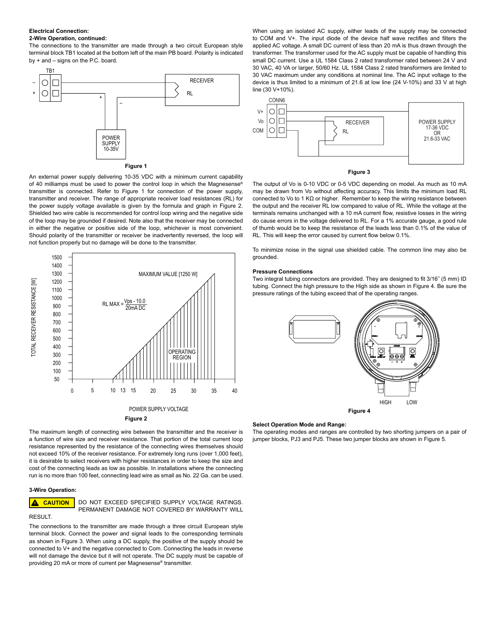#### **Electrical Connection: 2-Wire Operation, continued:**

The connections to the transmitter are made through a two circuit European style terminal block TB1 located at the bottom left of the main PB board. Polarity is indicated by + and – signs on the P.C. board.



An external power supply delivering 10-35 VDC with a minimum current capability of 40 milliamps must be used to power the control loop in which the Magnesense<sup>®</sup> transmitter is connected. Refer to Figure 1 for connection of the power supply, transmitter and receiver. The range of appropriate receiver load resistances (RL) for the power supply voltage available is given by the formula and graph in Figure 2. Shielded two wire cable is recommended for control loop wiring and the negative side of the loop may be grounded if desired. Note also that the receiver may be connected in either the negative or positive side of the loop, whichever is most convenient. Should polarity of the transmitter or receiver be inadvertently reversed, the loop will not function properly but no damage will be done to the transmitter.



The maximum length of connecting wire between the transmitter and the receiver is a function of wire size and receiver resistance. That portion of the total current loop resistance represented by the resistance of the connecting wires themselves should not exceed 10% of the receiver resistance. For extremely long runs (over 1,000 feet), it is desirable to select receivers with higher resistances in order to keep the size and cost of the connecting leads as low as possible. In installations where the connecting run is no more than 100 feet, connecting lead wire as small as No. 22 Ga. can be used.

## **3-Wire Operation:**

 $\blacktriangle$ **CAUTION**

RESULT.

DO NOT EXCEED SPECIFIED SUPPLY VOLTAGE RATINGS. PERMANENT DAMAGE NOT COVERED BY WARRANTY WILL

The connections to the transmitter are made through a three circuit European style terminal block. Connect the power and signal leads to the corresponding terminals as shown in Figure 3. When using a DC supply, the positive of the supply should be connected to V+ and the negative connected to Com. Connecting the leads in reverse will not damage the device but it will not operate. The DC supply must be capable of providing 20 mA or more of current per Magnesense® transmitter.

When using an isolated AC supply, either leads of the supply may be connected to COM and V+. The input diode of the device half wave rectifies and filters the applied AC voltage. A small DC current of less than 20 mA is thus drawn through the transformer. The transformer used for the AC supply must be capable of handling this small DC current. Use a UL 1584 Class 2 rated transformer rated between 24 V and 30 VAC, 40 VA or larger, 50/60 Hz. UL 1584 Class 2 rated transformers are limited to 30 VAC maximum under any conditions at nominal line. The AC input voltage to the device is thus limited to a minimum of 21.6 at low line (24 V-10%) and 33 V at high line (30 V+10%).



## **Figure 3**

The output of Vo is 0-10 VDC or 0-5 VDC depending on model. As much as 10 mA may be drawn from Vo without affecting accuracy. This limits the minimum load RL connected to Vo to 1 KΩ or higher. Remember to keep the wiring resistance between the output and the receiver RL low compared to value of RL. While the voltage at the terminals remains unchanged with a 10 mA current flow, resistive losses in the wiring do cause errors in the voltage delivered to RL. For a 1% accurate gauge, a good rule of thumb would be to keep the resistance of the leads less than 0.1% of the value of RL. This will keep the error caused by current flow below 0.1%.

To minimize noise in the signal use shielded cable. The common line may also be grounded.

#### **Pressure Connections**

Two integral tubing connectors are provided. They are designed to fit 3/16˝ (5 mm) ID tubing. Connect the high pressure to the High side as shown in Figure 4. Be sure the pressure ratings of the tubing exceed that of the operating ranges.



#### **Select Operation Mode and Range:**

The operating modes and ranges are controlled by two shorting jumpers on a pair of jumper blocks, PJ3 and PJ5. These two jumper blocks are shown in Figure 5.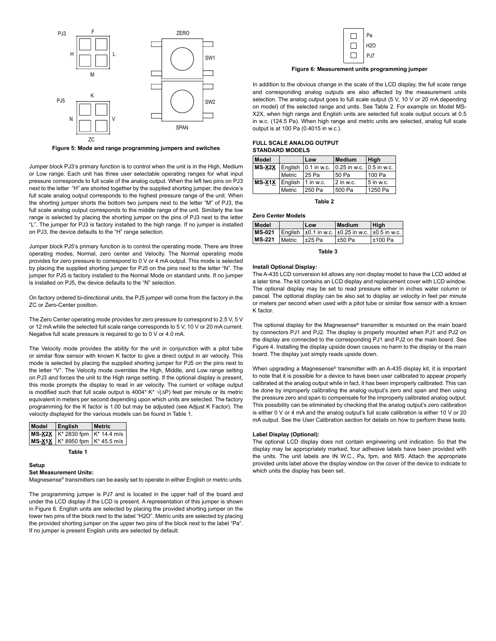

**Figure 5: Mode and range programming jumpers and switches**

Jumper block PJ3's primary function is to control when the unit is in the High, Medium or Low range. Each unit has three user selectable operating ranges for what input pressure corresponds to full scale of the analog output. When the left two pins on PJ3 next to the letter "H" are shorted together by the supplied shorting jumper, the device's full scale analog output corresponds to the highest pressure range of the unit. When the shorting jumper shorts the bottom two jumpers next to the letter "M" of PJ3, the full scale analog output corresponds to the middle range of the unit. Similarly the low range is selected by placing the shorting jumper on the pins of PJ3 next to the letter "L". The jumper for PJ3 is factory installed to the high range. If no jumper is installed on PJ3, the device defaults to the "H" range selection.

Jumper block PJ5's primary function is to control the operating mode. There are three operating modes, Normal, zero center and Velocity. The Normal operating mode provides for zero pressure to correspond to 0 V or 4 mA output. This mode is selected by placing the supplied shorting jumper for PJ5 on the pins next to the letter "N". The jumper for PJ5 is factory installed to the Normal Mode on standard units. If no jumper is installed on PJ5, the device defaults to the "N" selection.

On factory ordered bi-directional units, the PJ5 jumper will come from the factory in the ZC or Zero-Center position.

The Zero Center operating mode provides for zero pressure to correspond to 2.5 V, 5 V or 12 mA while the selected full scale range corresponds to 5 V, 10 V or 20 mA current. Negative full scale pressure is required to go to 0 V or 4.0 mA.

The Velocity mode provides the ability for the unit in conjunction with a pitot tube or similar flow sensor with known K factor to give a direct output in air velocity. This mode is selected by placing the supplied shorting jumper for PJ5 on the pins next to the letter "V". The Velocity mode overrides the High, Middle, and Low range setting on PJ3 and forces the unit to the High range setting. If the optional display is present, this mode prompts the display to read in air velocity. The current or voltage output is modified such that full scale output is 4004\* K\* √(∆P) feet per minute or its metric equivalent in meters per second depending upon which units are selected. The factory programming for the K factor is 1.00 but may be adjusted (see Adjust K Factor). The velocity displayed for the various models can be found in Table 1.

| Model | English                                                    | <b>Metric</b> |
|-------|------------------------------------------------------------|---------------|
|       | MS-X2X   K <sup>*</sup> 2830 fpm   K <sup>*</sup> 14.4 m/s |               |
|       | MS-X1X   K <sup>*</sup> 8950 fpm   K <sup>*</sup> 45.5 m/s |               |

| Table |  |  |
|-------|--|--|
|       |  |  |

**Setup**

#### **Set Measurement Units:**

Magnesense® transmitters can be easily set to operate in either English or metric units.

The programming jumper is PJ7 and is located in the upper half of the board and under the LCD display if the LCD is present. A representation of this jumper is shown in Figure 6. English units are selected by placing the provided shorting jumper on the lower two pins of the block next to the label "H2O". Metric units are selected by placing the provided shorting jumper on the upper two pins of the block next to the label "Pa". If no jumper is present English units are selected by default.



**Figure 6: Measurement units programming jumper**

In addition to the obvious change in the scale of the LCD display, the full scale range and corresponding analog outputs are also affected by the measurement units selection. The analog output goes to full scale output (5 V, 10 V or 20 mA depending on model) of the selected range and units. See Table 2. For example on Model MS-X2X, when high range and English units are selected full scale output occurs at 0.5 in w.c. (124.5 Pa). When high range and metric units are selected, analog full scale output is at 100 Pa (0.4015 in w.c.).

#### **FULL SCALE ANALOG OUTPUT STANDARD MODELS**

| Model          |        | Low                                    | Medium                         | High        |
|----------------|--------|----------------------------------------|--------------------------------|-------------|
|                |        | $MS - X2X$ English $\vert$ 0.1 in w.c. | $ 0.25$ in w.c. $ 0.5$ in w.c. |             |
|                | Metric | 125 Pa                                 | l 50 Pa                        | 100 Pa      |
| MS-X1X English |        | $1$ in w.c.                            | $ 2 \text{ in } w.c.$          | $5$ in w.c. |
|                | Metric | 250 Pa                                 | 500 Pa                         | 1250 Pa     |

**Table 2**

#### **Zero Center Models**

| Model         | Low         | <b>Medium</b>                                                                | High         |
|---------------|-------------|------------------------------------------------------------------------------|--------------|
|               |             | <b>MS-021</b> English $\pm 0.1$ in w.c. $\pm 0.25$ in w.c. $\pm 0.5$ in w.c. |              |
| MS-221 Metric | $\pm 25$ Pa | $\pm 50$ Pa                                                                  | $\pm 100$ Pa |

**Table 3**

### **Install Optional Display:**

The A-435 LCD conversion kit allows any non display model to have the LCD added at a later time. The kit contains an LCD display and replacement cover with LCD window. The optional display may be set to read pressure either in inches water column or pascal. The optional display can be also set to display air velocity in feet per minute or meters per second when used with a pitot tube or similar flow sensor with a known K factor.

The optional display for the Magnesense® transmitter is mounted on the main board by connectors PJ1 and PJ2. The display is properly mounted when PJ1 and PJ2 on the display are connected to the corresponding PJ1 and PJ2 on the main board. See Figure 4. Installing the display upside down causes no harm to the display or the main board. The display just simply reads upside down.

When upgrading a Magnesense® transmitter with an A-435 display kit, it is important to note that it is possible for a device to have been user calibrated to appear properly calibrated at the analog output while in fact, it has been improperly calibrated. This can be done by improperly calibrating the analog output's zero and span and then using the pressure zero and span to compensate for the improperly calibrated analog output. This possibility can be eliminated by checking that the analog output's zero calibration is either 0 V or 4 mA and the analog output's full scale calibration is either 10 V or 20 mA output. See the User Calibration section for details on how to perform these tests.

#### **Label Display (Optional):**

The optional LCD display does not contain engineering unit indication. So that the display may be appropriately marked, four adhesive labels have been provided with the units. The unit labels are IN W.C., Pa, fpm, and M/S. Attach the appropriate provided units label above the display window on the cover of the device to indicate to which units the display has been set.